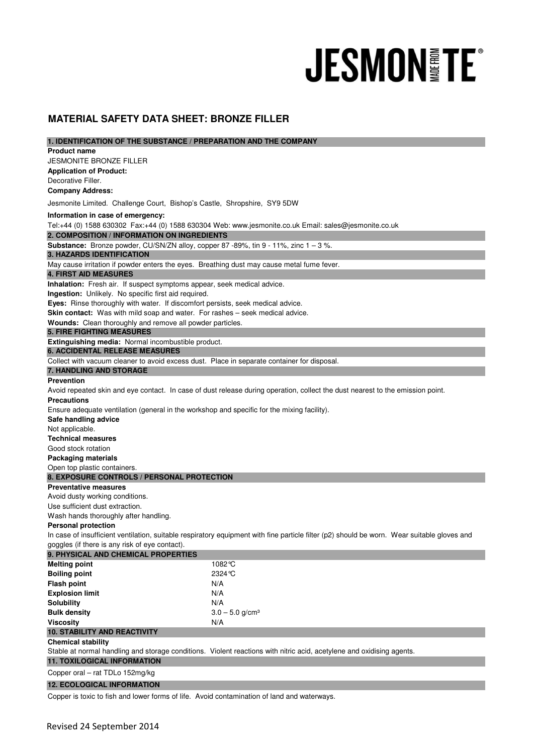# **JESMON TE®**

# **MATERIAL SAFETY DATA SHEET: BRONZE FILLER**

| 1. IDENTIFICATION OF THE SUBSTANCE / PREPARATION AND THE COMPANY                                                                            |                               |
|---------------------------------------------------------------------------------------------------------------------------------------------|-------------------------------|
| <b>Product name</b>                                                                                                                         |                               |
| <b>JESMONITE BRONZE FILLER</b>                                                                                                              |                               |
| <b>Application of Product:</b>                                                                                                              |                               |
| Decorative Filler.                                                                                                                          |                               |
| <b>Company Address:</b>                                                                                                                     |                               |
| Jesmonite Limited. Challenge Court, Bishop's Castle, Shropshire, SY9 5DW                                                                    |                               |
| Information in case of emergency:                                                                                                           |                               |
| Tel:+44 (0) 1588 630302 Fax:+44 (0) 1588 630304 Web: www.jesmonite.co.uk Email: sales@jesmonite.co.uk                                       |                               |
| 2. COMPOSITION / INFORMATION ON INGREDIENTS                                                                                                 |                               |
| <b>Substance:</b> Bronze powder, CU/SN/ZN alloy, copper 87 -89%, tin $9 - 11\%$ , zinc $1 - 3\%$ .                                          |                               |
| <b>3. HAZARDS IDENTIFICATION</b>                                                                                                            |                               |
| May cause irritation if powder enters the eyes. Breathing dust may cause metal fume fever.                                                  |                               |
| <b>4. FIRST AID MEASURES</b>                                                                                                                |                               |
| Inhalation: Fresh air. If suspect symptoms appear, seek medical advice.                                                                     |                               |
| Ingestion: Unlikely. No specific first aid required.                                                                                        |                               |
| Eyes: Rinse thoroughly with water. If discomfort persists, seek medical advice.                                                             |                               |
| Skin contact: Was with mild soap and water. For rashes - seek medical advice.                                                               |                               |
| Wounds: Clean thoroughly and remove all powder particles.                                                                                   |                               |
| <b>5. FIRE FIGHTING MEASURES</b>                                                                                                            |                               |
| <b>Extinguishing media:</b> Normal incombustible product.                                                                                   |                               |
| <b>6. ACCIDENTAL RELEASE MEASURES</b>                                                                                                       |                               |
| Collect with vacuum cleaner to avoid excess dust. Place in separate container for disposal.                                                 |                               |
| 7. HANDLING AND STORAGE                                                                                                                     |                               |
| <b>Prevention</b>                                                                                                                           |                               |
| Avoid repeated skin and eye contact. In case of dust release during operation, collect the dust nearest to the emission point.              |                               |
| <b>Precautions</b>                                                                                                                          |                               |
| Ensure adequate ventilation (general in the workshop and specific for the mixing facility).                                                 |                               |
| Safe handling advice                                                                                                                        |                               |
| Not applicable.                                                                                                                             |                               |
| <b>Technical measures</b>                                                                                                                   |                               |
| Good stock rotation                                                                                                                         |                               |
| <b>Packaging materials</b>                                                                                                                  |                               |
| Open top plastic containers.                                                                                                                |                               |
| 8. EXPOSURE CONTROLS / PERSONAL PROTECTION                                                                                                  |                               |
| <b>Preventative measures</b>                                                                                                                |                               |
| Avoid dusty working conditions.                                                                                                             |                               |
| Use sufficient dust extraction.                                                                                                             |                               |
| Wash hands thoroughly after handling.                                                                                                       |                               |
| <b>Personal protection</b>                                                                                                                  |                               |
| In case of insufficient ventilation, suitable respiratory equipment with fine particle filter (p2) should be worn. Wear suitable gloves and |                               |
| goggles (if there is any risk of eye contact).                                                                                              |                               |
| 9. PHYSICAL AND CHEMICAL PROPERTIES                                                                                                         |                               |
| <b>Melting point</b>                                                                                                                        | 1082°C                        |
| <b>Boiling point</b>                                                                                                                        | 2324 °C                       |
| <b>Flash point</b>                                                                                                                          | N/A                           |
| <b>Explosion limit</b>                                                                                                                      | N/A                           |
| <b>Solubility</b>                                                                                                                           | N/A                           |
| <b>Bulk density</b>                                                                                                                         | $3.0 - 5.0$ g/cm <sup>3</sup> |
| <b>Viscosity</b>                                                                                                                            | N/A                           |
| <b>10. STABILITY AND REACTIVITY</b>                                                                                                         |                               |
| <b>Chemical stability</b>                                                                                                                   |                               |
|                                                                                                                                             |                               |

Stable at normal handling and storage conditions. Violent reactions with nitric acid, acetylene and oxidising agents.

# **11. TOXILOGICAL INFORMATION**

Copper oral – rat TDLo 152mg/kg

## **12. ECOLOGICAL INFORMATION**

Copper is toxic to fish and lower forms of life. Avoid contamination of land and waterways.